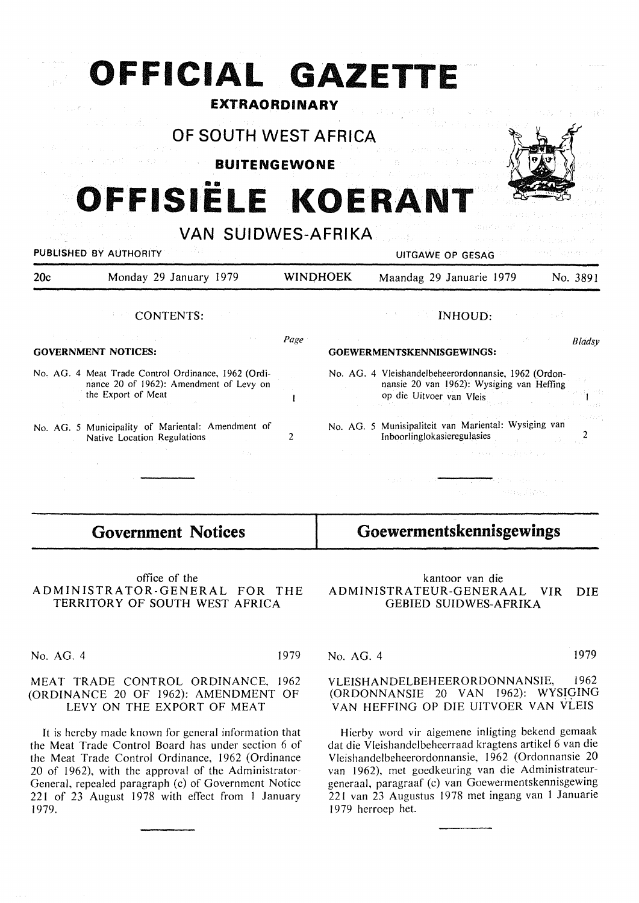# **OFFICIAL GAZETTE**

### **EXTRAORDINARY**

# **OF SOUTH WEST AFRICA**

**BUITENGEWONE** 

# **OFFISIELE KOERANT**



| <b>VAN SUIDWES-AFRIKA</b><br>a suite and the second second second to<br>PUBLISHED BY AUTHORITY |                                                                                                                                                                                                                                                                                                                                                                                                                                                                                         |                 | 2017년 1월 20일 - 대한민국 대학교 전부 100 로마 중 100 MHz 100 MHz 100 MHz<br>and the March of the community of the state of the community of the community of the community of the community of the community of the community of the community of the community of the community of the community of the c<br>and a contract of a present in 1998<br>UITGAWE OP GESAG |                |
|------------------------------------------------------------------------------------------------|-----------------------------------------------------------------------------------------------------------------------------------------------------------------------------------------------------------------------------------------------------------------------------------------------------------------------------------------------------------------------------------------------------------------------------------------------------------------------------------------|-----------------|----------------------------------------------------------------------------------------------------------------------------------------------------------------------------------------------------------------------------------------------------------------------------------------------------------------------------------------------------------|----------------|
| 20c                                                                                            | Monday 29 January 1979                                                                                                                                                                                                                                                                                                                                                                                                                                                                  | <b>WINDHOEK</b> | Maandag 29 Januarie 1979                                                                                                                                                                                                                                                                                                                                 | No. 3891       |
|                                                                                                | CONTENTS:                                                                                                                                                                                                                                                                                                                                                                                                                                                                               |                 | <b>Example 18 INHOUD:</b>                                                                                                                                                                                                                                                                                                                                | in strandardi. |
|                                                                                                | $\mathcal{L}^{\mathcal{L}}(\mathcal{L}^{\mathcal{L}}(\mathcal{L}^{\mathcal{L}}(\mathcal{L}^{\mathcal{L}}(\mathcal{L}^{\mathcal{L}}(\mathcal{L}^{\mathcal{L}}(\mathcal{L}^{\mathcal{L}}(\mathcal{L}^{\mathcal{L}}(\mathcal{L}^{\mathcal{L}}(\mathcal{L}^{\mathcal{L}}(\mathcal{L}^{\mathcal{L}}(\mathcal{L}^{\mathcal{L}}(\mathcal{L}^{\mathcal{L}}(\mathcal{L}^{\mathcal{L}}(\mathcal{L}^{\mathcal{L}}(\mathcal{L}^{\mathcal{L}}(\mathcal{L}^{\mathcal{L$<br><b>GOVERNMENT NOTICES:</b> | Page            | しょうしょう みちょうしゃ<br>医心脏 医心脏 医心脏 医血管病 医心脏<br>GOEWERMENTSKENNISGEWINGS:                                                                                                                                                                                                                                                                                       | Bladsy         |
|                                                                                                | No. AG. 4 Meat Trade Control Ordinance, 1962 (Ordi-<br>nance 20 of 1962): Amendment of Levy on<br>the Export of Meat                                                                                                                                                                                                                                                                                                                                                                    |                 | No. AG. 4 Vleishandelbeheerordonnansie, 1962 (Ordon-<br>nansie 20 van 1962): Wysiging van Heffing<br>op die Uitvoer van Vleis                                                                                                                                                                                                                            | Turki          |

No. AG. 5 Municipality of Mariental: Amendment of Native Location Regulations 2

| No. AG. 4 Vleishandelbeheerordonnansie, 1962 (Ordon-<br>nansie 20 van 1962): Wysiging van Heffing                               | inst Gr |
|---------------------------------------------------------------------------------------------------------------------------------|---------|
| op die Uitvoer van Vleis                                                                                                        |         |
| きんしょうきょう しょくしょう こうしょうしょう こうしょう こうきょうしん<br>No. AG. 5 Munisipaliteit van Mariental: Wysiging van<br>Inboorlinglokasieregulasies 2 |         |

## **Government Notices**

office of the ADMINISTRATOR-GENERAL FOR THE TERRITORY OF SOUTH WEST AFRICA

No. AG. 4 1979

 $1.16 - 7.$ 

#### MEAT TRADE CONTROL ORDINANCE, 1962 (ORDINANCE 20 OF 1962): AMENDMENT OF LEVY ON THE EXPORT OF MEAT

It is hereby made known for general information that the Meat Trade Control Board has under section 6 of the Meat Trade Control Ordinance, 1962 (Ordinance 20 of 1962), with the approval of the Administrator-General, repealed paragraph (c) of Government Notice 221 of 23 August 1978 with effect from 1 January 1979.

kantoor van die ADMINISTRATEUR-GENERAAL VIR DIE GEBIED SUIDWES-AFRIKA

**Goewermentskennisgewings** 

### No. AG. 4 1979

VLEISHANDELBEHEERORDONNANSIE, 1962 (ORDONNANSIE 20 VAN 1962): WYSIGING VAN HEFFING OP DIE UITVOER VAN VLEIS

Hierby word vir algemene inligting bekend gemaak dat die Vleishandelbeheerraad kragtens artikel 6 van die Vleishandelbeheerordonnansie, 1962 (Ordonnansie 20 van 1962), met goedkeuring van die Administrateurgeneraal, paragraaf (c) van Goewermentskennisgewing 221 van 23 Augustus 1978 met ingang van 1 Januarie 1979 herroep het.